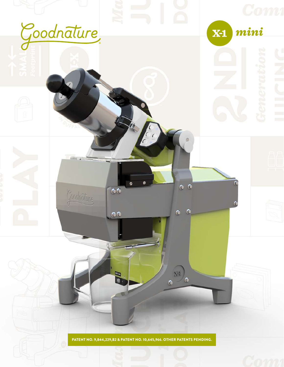

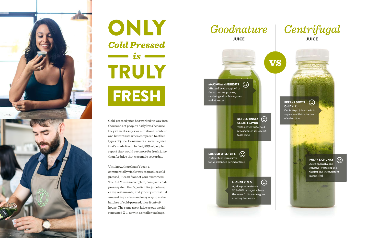

# ONLY **Cold Pressed**  $\qquad \qquad \bullet$  is  $\qquad \qquad$ TRULY FRESH

Cold-pressed juice has worked its way into thousands of people's daily lives because they value its superior nutritional content and better taste when compared to other types of juice. Consumers also value juice that's made fresh. In fact, 89% of people report they would pay more for fresh juice than for juice that was made yesterday.

Until now, there hasn't been a commercially viable way to produce coldpressed juice in front of your customers. The X-1 Mini is a complete, compact, coldpress system that's perfect for juice bars, cafes, restaurants, and grocery stores that are seeking a clean and easy way to make batches of cold-pressed juice front-ofhouse. The same great juice as our worldrenowned X-1, now in a smaller package.



 $\odot$ MAXIMUM NUTRIENTS Minimal heat is applied in the extraction process, retaining valuable enzymes and vitamins

> **REFRESHINGLY**  $(\dot{\bm{\cdot}})$ **CLEAN FLAVOR** With a crisp taste, coldpressed juice wins most taste tests

LONGER SHELF LIFE  $\odot$ Nutrients are preserved for an extended period of time

**HIGHER YIELD** 

A juice press extracts 20%-30% more juice from the same fruits and veggies, creating less waste

 $\odot$ 



#### **BREAKS DOWN QUICKLY**

VS

Centrifugal juice starts to separate within minutes of extraction

 $\left( \frac{1}{2} \right)$ 

#### **PULPY & CHUNKY**



Juice has high solid content - resulting in a thicker and inconsistent mouth-feel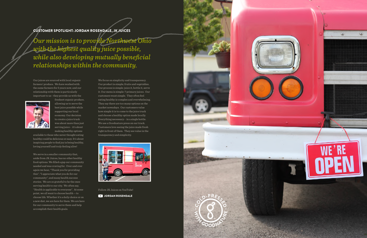We focus on simplicity and transparency. Our product is simple; fruits and vegetables. Our process is simple: juice it, bottle it, serve it. Our menu is simple: 7 primary juices. Our customers want simple. They often feel eating healthy is complex and overwhelming. They say there are too many options on the market nowadays. Our customers value how simple it is to come to the juice truck and choose a healthy option made locally. Everything necessary - in a single bottle. We use a Goodnature press on our truck. Customers love seeing the juice made fresh right in front of them. They see value in the transparency and simplicity.



Follow JK Juices on YouTube!





*Our mission is to provide Northwest Ohio with the highest quality juice possible, while also developing mutually beneficial relationships within the community.*

### CUSTOMER SPOTLIGHT: JORDAN ROSENDALE, JK JUICES

Our juices are sourced with local organic farmers' produce. We have worked with the same farmers for 5 years now, and our relationship with them is particularly important to us - they provide us with the



freshest organic produce, allowing us to serve the best juice possible while supporting our local economy. Our decision to create a juice truck was about more than just serving juice - it's about making healthy options

available to those who never thought eating healthy could be delicious or easy. It's about inspiring people to find joy in being healthy, loving yourself and truly feeling alive!

We serve in a smaller community that, aside from JK Juices, has no other healthy food options. We filled a gap our community needed and was craving for. Over and over again we hear, "Thank you for providing this", "I appreciate what you do for our community", and many health success stories. We are so grateful to be the ones serving health to our city. We often say, "Health is applicable to everyone". At some point, we all want to choose health -- to choose life. Whether it's a daily choice or on a new diet, we are here for them. We are here for our community to serve them and help accomplish their health goals.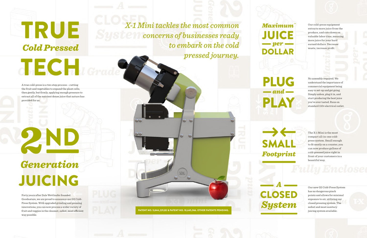A true cold-press is a two step process – cutting the fruit and vegetables to expand the plant cells, then gently, but firmly, applying enough pressure to extract all of the nutrient dense juice that nature has provided for us.

 $\overline{G}$ , ECH $\overline{G}$ 

TRUE

**Cold Pressed** 

Generation JUICING

No assembly required. We understand the importance of commercial equipment being easy to set-up and get going. Simply unbox, plug it in, and start producing the best juice you've ever tasted. Runs on standard 110v electrical outlet.

Forty years after Dale Wettlaufer founded Goodnature, we are proud to announce our G2 Cold-Press System. With upgraded grinding and pressing innovations, you can now process a wider variety of fruit and veggies in the cleanest, safest, most efficient way possible.

The X-1 Mini is the most compact all-in-one coldpress system. Small enough to fit neatly on a counter, you can now produce gallons of cold-pressed juice right in front of your customers in a beautiful way.

Our cold-press equipment extracts more juice from the produce, and cuts down on valuable labor time, meaning more juice for your hard earned dollars. Decrease waste, increase profit.

**Maximum** 

**JUICE** 

 $-$  per  $-$ 

**DOLLAR** 

**PLUG** 

 $and$   $-$ 

PLAY

SMALL

Footprint

**CLOSED** 

**System** 

Our new G2 Cold-Press System has no dangerous pinch points and allows for minimal exposure to air, utilizing our closed pressing system. The safest and most sanitary juicing system available.

*X-1 Mini tackles the most common concerns of businesses ready to embark on the cold pressed journey.*

PATENT NO. 9,844,229,B2 & PATENT NO. 10,645,966. OTHER PATENTS PENDING.

 $\circ$   $\circ$ 

 $\bullet$ 

 $\bullet$ 

XEL

 $\bullet$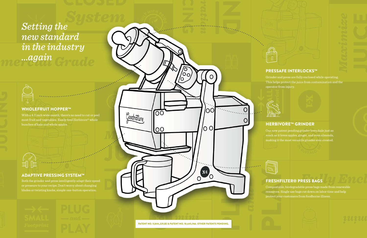

/0<br>/00

O

 $\overline{\rm{O}}$ 

 $\overline{O}O$ 

Goodnature

O

l00

/0 O

**EXEL** 





Both the grinder and press intelligently adapt their speed or pressure to your recipe. Don't worry about changing blades or twisting knobs, simple one-button operation.



With a 4.3 inch wide mouth, there's no need to cut or peel most fruit and vegetables. Easily feed Herbivore® whole bunches of kale and whole apples.

#### ADAPTIVE PRESSING SYSTEM™

Grinder and press are fully enclosed while operating. This helps protect the juice from contamination and the operator from injury.



O

Our new patent pending grinder loves kale just as much as it loves apples, ginger, and even almonds, making it the most versatile grinder ever created.



Compostable, biodegradable press bags made from renewable resources. Single use bags cut down on labor time and help protect your customers from foodborne illness.





#### PRESSAFE INTERLOCKS™

#### HERBIVORE™ GRINDER

#### FRESHFILTER® PRESS BAGS

*Setting the new standard in the industry ...again*



#### WHOLEFRUIT HOPPER™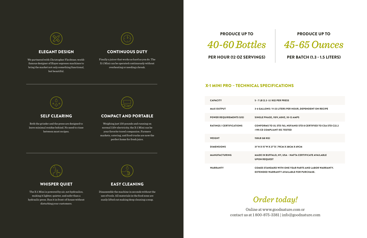| <b>CAPACITY</b>                 | $5 - 7$ LB $(2.3 - 3.$                  |
|---------------------------------|-----------------------------------------|
| <b>MAX OUTPUT</b>               | <b>3-6 GALLONS</b>                      |
| <b>POWER REQUIREMENTS (US)</b>  | <b>SINGLE PHAS</b>                      |
| <b>RATINGS / CERTIFICATIONS</b> | <b>CONFORMS1</b><br>#195 CE COMI        |
| <b>WEIGHT</b>                   | 150LB (68 KG)                           |
| <b>DIMENSIONS</b>               | 31"H X 15"W X                           |
| <b>MANUFACTURING</b>            | <b>MADE IN BUF</b><br><b>UPON REQUI</b> |
| <b>WARRANTY</b>                 | <b>COMES STAN</b><br><b>EXTENDED W</b>  |



*Order today!*

Online at www.goodnature.com or contact us at 1 800-875-3381 | info@goodnature.com



#### PRODUCE UP TO



#### PER HOUR (12 OZ SERVINGS) PER BATCH (1.3 - 1.5 LITERS)

#### X-1 MINI PRO – TECHNICAL SPECIFICATIONS

#### PRODUCE UP TO



.1 KG) PER PRESS

11-23 LITERS PER HOUR, DEPENDENT ON RECIPE

SE, 110V, 60HZ, 10-12 AMPS

TO UL STD 763, NSF/ANSI STD 8 CERTIFIED TO CSA STD C22.2 PLIANT IEC TESTED

27"D | 79CM X 38CM X 69CM

FFALO, NY, USA – NAFTA CERTIFICATE AVAILABLE EST

DARD WITH ONE YEAR PARTS AND LABOR WARRANTY. **EXAREM IT AVAILABLE FOR PURCHASE.** 

We partnered with Christopher Flechtner, worldfamous designer of Slayer espresso machines to bring the market not only something functional, but beautiful.



Both the grinder and the press are designed to leave minimal residue behind. No need to rinse between most recipes.



The X-1 Mini is powered by air, not hydraulics, making it lighter, quieter, and safer than a hydraulic press. Run it in front-of-house without disturbing your customers.



Finally a juicer that works as hard as you do. The X-1 Mini can be operated continuously without overheating or needing a break.

Weighing just 150 pounds and running on normal 110v electricity, the X-1 Mini can be your favorite travel companion. Farmers markets, catering, and food trucks are now the perfect home for fresh juice.



Disassemble the machine in seconds without the use of tools. All materials in the food zone are easily lifted out making deep cleaning a snap.



#### ELEGANT DESIGN

#### SELF CLEARING

#### WHISPER QUIET

#### CONTINUOUS DUTY

#### COMPACT AND PORTABLE

#### EASY CLEANING